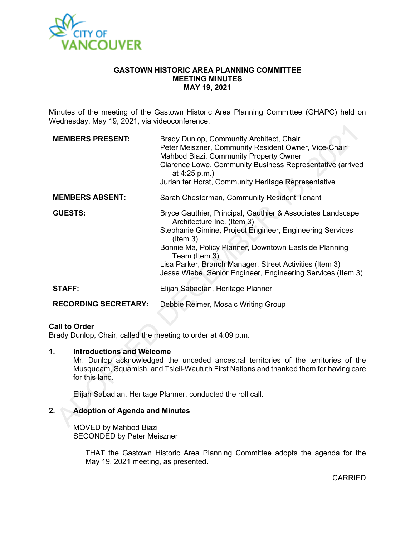

### **GASTOWN HISTORIC AREA PLANNING COMMITTEE MEETING MINUTES MAY 19, 2021**

Minutes of the meeting of the Gastown Historic Area Planning Committee (GHAPC) held on Wednesday, May 19, 2021, via videoconference.

| <b>MEMBERS PRESENT:</b>     | Brady Dunlop, Community Architect, Chair<br>Peter Meiszner, Community Resident Owner, Vice-Chair<br>Mahbod Biazi, Community Property Owner<br>Clarence Lowe, Community Business Representative (arrived<br>at $4:25$ p.m.)<br>Jurian ter Horst, Community Heritage Representative                                                                                          |
|-----------------------------|----------------------------------------------------------------------------------------------------------------------------------------------------------------------------------------------------------------------------------------------------------------------------------------------------------------------------------------------------------------------------|
| <b>MEMBERS ABSENT:</b>      | Sarah Chesterman, Community Resident Tenant                                                                                                                                                                                                                                                                                                                                |
| <b>GUESTS:</b>              | Bryce Gauthier, Principal, Gauthier & Associates Landscape<br>Architecture Inc. (Item 3)<br>Stephanie Gimine, Project Engineer, Engineering Services<br>$($ ltem 3 $)$<br>Bonnie Ma, Policy Planner, Downtown Eastside Planning<br>Team (Item 3)<br>Lisa Parker, Branch Manager, Street Activities (Item 3)<br>Jesse Wiebe, Senior Engineer, Engineering Services (Item 3) |
| <b>STAFF:</b>               | Elijah Sabadlan, Heritage Planner                                                                                                                                                                                                                                                                                                                                          |
| <b>RECORDING SECRETARY:</b> | Debbie Reimer, Mosaic Writing Group                                                                                                                                                                                                                                                                                                                                        |

### **Call to Order**

Brady Dunlop, Chair, called the meeting to order at 4:09 p.m.

#### **1. Introductions and Welcome**

Mr. Dunlop acknowledged the unceded ancestral territories of the territories of the Musqueam, Squamish, and Tsleil-Waututh First Nations and thanked them for having care for this land.

Elijah Sabadlan, Heritage Planner, conducted the roll call.

# **2. Adoption of Agenda and Minutes**

MOVED by Mahbod Biazi SECONDED by Peter Meiszner

> THAT the Gastown Historic Area Planning Committee adopts the agenda for the May 19, 2021 meeting, as presented.

> > CARRIED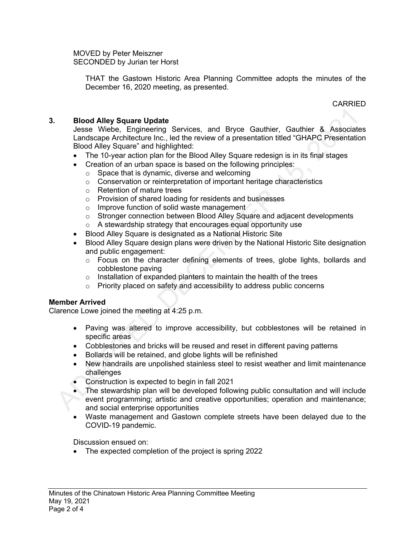MOVED by Peter Meiszner SECONDED by Jurian ter Horst

> THAT the Gastown Historic Area Planning Committee adopts the minutes of the December 16, 2020 meeting, as presented.

> > CARRIED

# **3. Blood Alley Square Update**

Jesse Wiebe, Engineering Services, and Bryce Gauthier, Gauthier & Associates Landscape Architecture Inc., led the review of a presentation titled "GHAPC Presentation Blood Alley Square" and highlighted:

- The 10-year action plan for the Blood Alley Square redesign is in its final stages
- Creation of an urban space is based on the following principles:
	- o Space that is dynamic, diverse and welcoming
	- o Conservation or reinterpretation of important heritage characteristics
	- o Retention of mature trees
	- o Provision of shared loading for residents and businesses
	- o Improve function of solid waste management
	- $\circ$  Stronger connection between Blood Alley Square and adjacent developments o A stewardship strategy that encourages equal opportunity use
- Blood Alley Square is designated as a National Historic Site
- Blood Alley Square design plans were driven by the National Historic Site designation and public engagement:
	- o Focus on the character defining elements of trees, globe lights, bollards and cobblestone paving
	- o Installation of expanded planters to maintain the health of the trees
	- o Priority placed on safety and accessibility to address public concerns

# **Member Arrived**

Clarence Lowe joined the meeting at 4:25 p.m.

- Paving was altered to improve accessibility, but cobblestones will be retained in specific areas
- Cobblestones and bricks will be reused and reset in different paving patterns
- Bollards will be retained, and globe lights will be refinished
- New handrails are unpolished stainless steel to resist weather and limit maintenance challenges
- Construction is expected to begin in fall 2021
- The stewardship plan will be developed following public consultation and will include event programming; artistic and creative opportunities; operation and maintenance; and social enterprise opportunities
- Waste management and Gastown complete streets have been delayed due to the COVID-19 pandemic.

Discussion ensued on:

• The expected completion of the project is spring 2022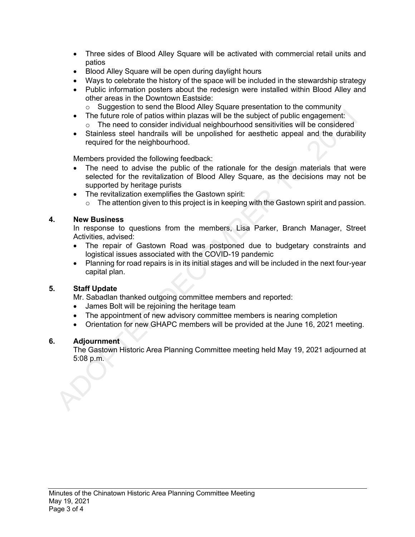- Three sides of Blood Alley Square will be activated with commercial retail units and patios
- Blood Alley Square will be open during daylight hours
- Ways to celebrate the history of the space will be included in the stewardship strategy
- Public information posters about the redesign were installed within Blood Alley and other areas in the Downtown Eastside:
	- $\circ$  Suggestion to send the Blood Alley Square presentation to the community
- The future role of patios within plazas will be the subject of public engagement: o The need to consider individual neighbourhood sensitivities will be considered
- Stainless steel handrails will be unpolished for aesthetic appeal and the durability required for the neighbourhood.

Members provided the following feedback:

- The need to advise the public of the rationale for the design materials that were selected for the revitalization of Blood Alley Square, as the decisions may not be supported by heritage purists
- The revitalization exemplifies the Gastown spirit:
	- $\circ$  The attention given to this project is in keeping with the Gastown spirit and passion.

## **4. New Business**

In response to questions from the members, Lisa Parker, Branch Manager, Street Activities, advised:

- The repair of Gastown Road was postponed due to budgetary constraints and logistical issues associated with the COVID-19 pandemic
- Planning for road repairs is in its initial stages and will be included in the next four-year capital plan.

# **5. Staff Update**

Mr. Sabadlan thanked outgoing committee members and reported:

- James Bolt will be rejoining the heritage team
- The appointment of new advisory committee members is nearing completion
- Orientation for new GHAPC members will be provided at the June 16, 2021 meeting.

#### **6. Adjournment**

The Gastown Historic Area Planning Committee meeting held May 19, 2021 adjourned at 5:08 p.m.